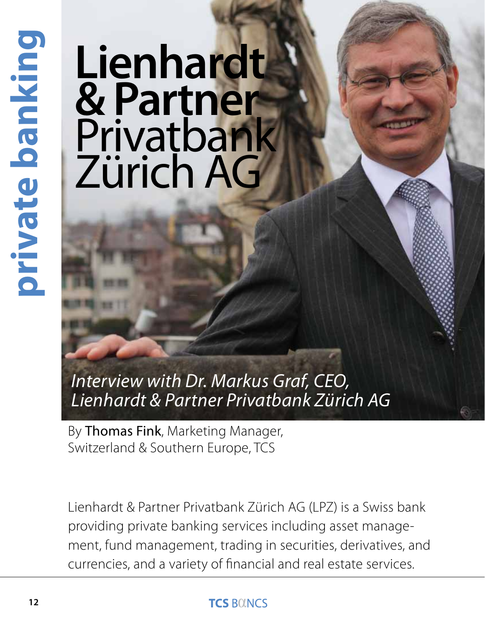# private banking **12private banking**

# **Lienhardt & Partner** Privatbank Zürich AG

*Interview with Dr. Markus Graf, CEO, Lienhardt & Partner Privatbank Zürich AG*

By Thomas Fink, Marketing Manager, Switzerland & Southern Europe, TCS

Lienhardt & Partner Privatbank Zürich AG (LPZ) is a Swiss bank providing private banking services including asset management, fund management, trading in securities, derivatives, and currencies, and a variety of financial and real estate services.

# **TCS BOINCS**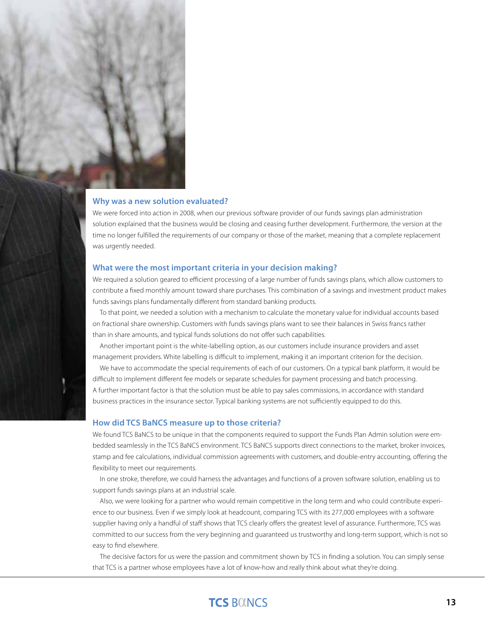### **Why was a new solution evaluated?**

We were forced into action in 2008, when our previous software provider of our funds savings plan administration solution explained that the business would be closing and ceasing further development. Furthermore, the version at the time no longer fulfilled the requirements of our company or those of the market, meaning that a complete replacement was urgently needed.

### **What were the most important criteria in your decision making?**

We required a solution geared to efficient processing of a large number of funds savings plans, which allow customers to contribute a fixed monthly amount toward share purchases. This combination of a savings and investment product makes funds savings plans fundamentally different from standard banking products.

To that point, we needed a solution with a mechanism to calculate the monetary value for individual accounts based on fractional share ownership. Customers with funds savings plans want to see their balances in Swiss francs rather than in share amounts, and typical funds solutions do not offer such capabilities.

Another important point is the white-labelling option, as our customers include insurance providers and asset management providers. White labelling is difficult to implement, making it an important criterion for the decision.

We have to accommodate the special requirements of each of our customers. On a typical bank platform, it would be difficult to implement different fee models or separate schedules for payment processing and batch processing. A further important factor is that the solution must be able to pay sales commissions, in accordance with standard business practices in the insurance sector. Typical banking systems are not sufficiently equipped to do this.

### **How did TCS BaNCS measure up to those criteria?**

We found TCS BaNCS to be unique in that the components required to support the Funds Plan Admin solution were embedded seamlessly in the TCS BaNCS environment. TCS BaNCS supports direct connections to the market, broker invoices, stamp and fee calculations, individual commission agreements with customers, and double-entry accounting, offering the flexibility to meet our requirements.

In one stroke, therefore, we could harness the advantages and functions of a proven software solution, enabling us to support funds savings plans at an industrial scale.

Also, we were looking for a partner who would remain competitive in the long term and who could contribute experience to our business. Even if we simply look at headcount, comparing TCS with its 277,000 employees with a software supplier having only a handful of staff shows that TCS clearly offers the greatest level of assurance. Furthermore, TCS was committed to our success from the very beginning and guaranteed us trustworthy and long-term support, which is not so easy to find elsewhere.

The decisive factors for us were the passion and commitment shown by TCS in finding a solution. You can simply sense that TCS is a partner whose employees have a lot of know-how and really think about what they're doing.

# **TCS BOUNCS**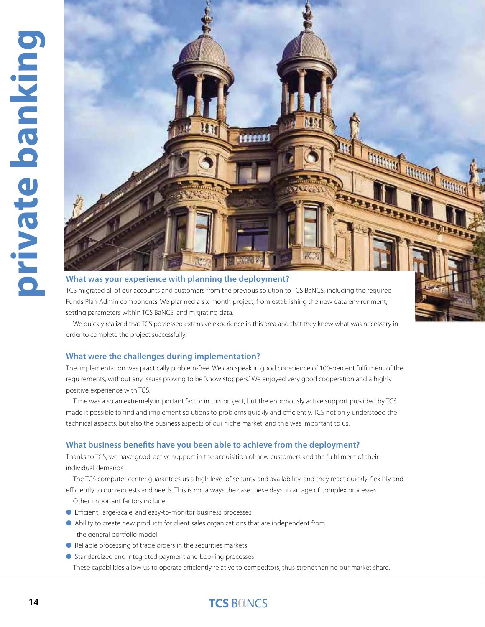

### **What was your experience with planning the deployment?**

TCS migrated all of our accounts and customers from the previous solution to TCS BaNCS, including the required Funds Plan Admin components. We planned a six-month project, from establishing the new data environment, setting parameters within TCS BaNCS, and migrating data.

We quickly realized that TCS possessed extensive experience in this area and that they knew what was necessary in order to complete the project successfully.

### **What were the challenges during implementation?**

The implementation was practically problem-free. We can speak in good conscience of 100-percent fulfilment of the requirements, without any issues proving to be "show stoppers." We enjoyed very good cooperation and a highly positive experience with TCS.

Time was also an extremely important factor in this project, but the enormously active support provided by TCS made it possible to find and implement solutions to problems quickly and efficiently. TCS not only understood the technical aspects, but also the business aspects of our niche market, and this was important to us.

### **What business benefits have you been able to achieve from the deployment?**

Thanks to TCS, we have good, active support in the acquisition of new customers and the fulfillment of their individual demands.

The TCS computer center guarantees us a high level of security and availability, and they react quickly, flexibly and efficiently to our requests and needs. This is not always the case these days, in an age of complex processes.

Other important factors include:

- l Efficient, large-scale, and easy-to-monitor business processes
- l Ability to create new products for client sales organizations that are independent from the general portfolio model
- l Reliable processing of trade orders in the securities markets
- l Standardized and integrated payment and booking processes

These capabilities allow us to operate efficiently relative to competitors, thus strengthening our market share.

# **TCS BOINCS**